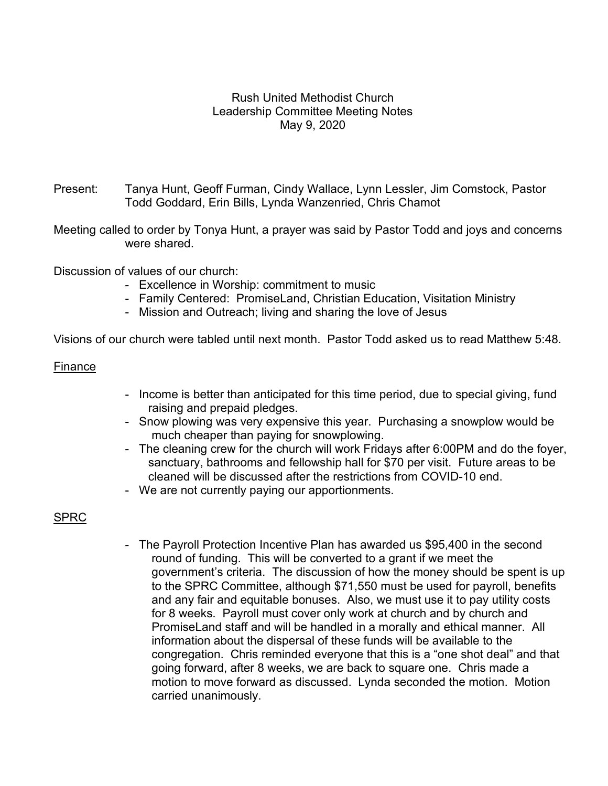# Rush United Methodist Church Leadership Committee Meeting Notes May 9, 2020

- Present: Tanya Hunt, Geoff Furman, Cindy Wallace, Lynn Lessler, Jim Comstock, Pastor Todd Goddard, Erin Bills, Lynda Wanzenried, Chris Chamot
- Meeting called to order by Tonya Hunt, a prayer was said by Pastor Todd and joys and concerns were shared.

Discussion of values of our church:

- Excellence in Worship: commitment to music
- Family Centered: PromiseLand, Christian Education, Visitation Ministry
- Mission and Outreach; living and sharing the love of Jesus

Visions of our church were tabled until next month. Pastor Todd asked us to read Matthew 5:48.

### Finance

- Income is better than anticipated for this time period, due to special giving, fund raising and prepaid pledges.
- Snow plowing was very expensive this year. Purchasing a snowplow would be much cheaper than paying for snowplowing.
- The cleaning crew for the church will work Fridays after 6:00PM and do the foyer, sanctuary, bathrooms and fellowship hall for \$70 per visit. Future areas to be cleaned will be discussed after the restrictions from COVID-10 end.
- We are not currently paying our apportionments.

# SPRC

 - The Payroll Protection Incentive Plan has awarded us \$95,400 in the second round of funding. This will be converted to a grant if we meet the government's criteria. The discussion of how the money should be spent is up to the SPRC Committee, although \$71,550 must be used for payroll, benefits and any fair and equitable bonuses. Also, we must use it to pay utility costs for 8 weeks. Payroll must cover only work at church and by church and PromiseLand staff and will be handled in a morally and ethical manner. All information about the dispersal of these funds will be available to the congregation. Chris reminded everyone that this is a "one shot deal" and that going forward, after 8 weeks, we are back to square one. Chris made a motion to move forward as discussed. Lynda seconded the motion. Motion carried unanimously.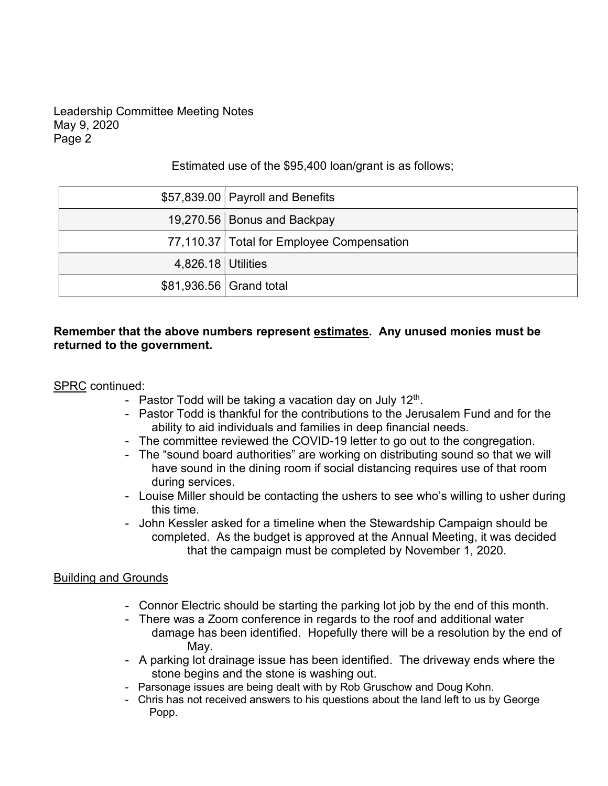# Leadership Committee Meeting Notes May 9, 2020 Page 2

## Estimated use of the \$95,400 loan/grant is as follows;

|                    | \$57,839.00 Payroll and Benefits          |
|--------------------|-------------------------------------------|
|                    | 19,270.56 Bonus and Backpay               |
|                    | 77,110.37 Total for Employee Compensation |
| 4,826.18 Utilities |                                           |
|                    | \$81,936.56 Grand total                   |

# Remember that the above numbers represent estimates. Any unused monies must be returned to the government.

### SPRC continued:

- Pastor Todd will be taking a vacation day on July  $12<sup>th</sup>$ . .
- Pastor Todd is thankful for the contributions to the Jerusalem Fund and for the ability to aid individuals and families in deep financial needs.
- The committee reviewed the COVID-19 letter to go out to the congregation.
- The "sound board authorities" are working on distributing sound so that we will have sound in the dining room if social distancing requires use of that room during services.
- Louise Miller should be contacting the ushers to see who's willing to usher during this time.
- John Kessler asked for a timeline when the Stewardship Campaign should be completed. As the budget is approved at the Annual Meeting, it was decided that the campaign must be completed by November 1, 2020.

# Building and Grounds

- Connor Electric should be starting the parking lot job by the end of this month.
- There was a Zoom conference in regards to the roof and additional water damage has been identified. Hopefully there will be a resolution by the end of **May.** The May.
	- A parking lot drainage issue has been identified. The driveway ends where the stone begins and the stone is washing out.
	- Parsonage issues are being dealt with by Rob Gruschow and Doug Kohn.
	- Chris has not received answers to his questions about the land left to us by George Popp.